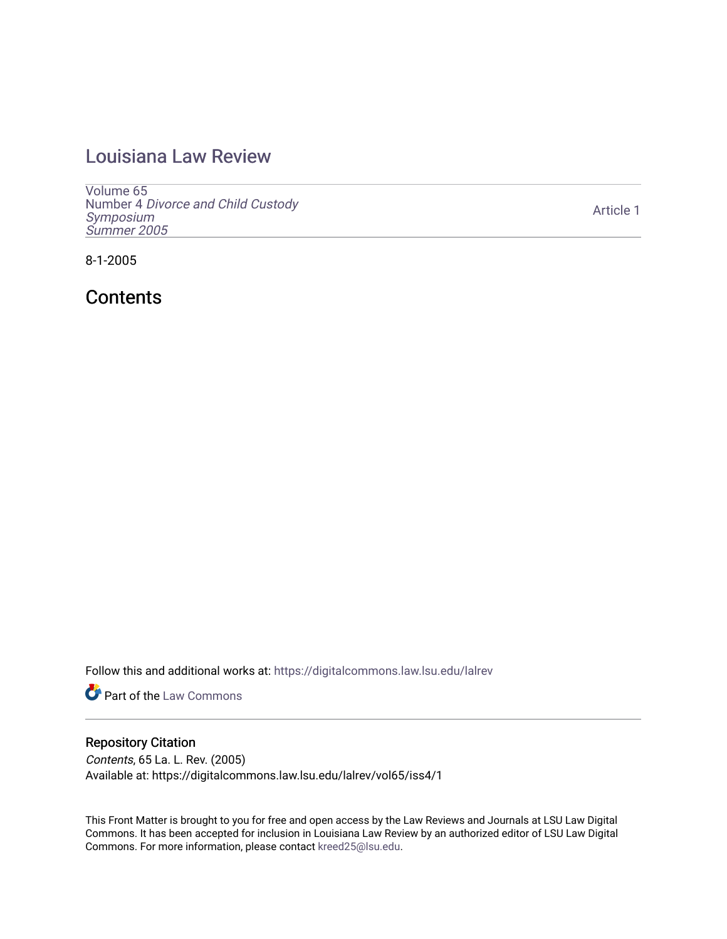## [Louisiana Law Review](https://digitalcommons.law.lsu.edu/lalrev)

[Volume 65](https://digitalcommons.law.lsu.edu/lalrev/vol65) Number 4 [Divorce and Child Custody](https://digitalcommons.law.lsu.edu/lalrev/vol65/iss4)  [Symposium](https://digitalcommons.law.lsu.edu/lalrev/vol65/iss4)  [Summer 2005](https://digitalcommons.law.lsu.edu/lalrev/vol65/iss4) 

8-1-2005

**Contents** 

Follow this and additional works at: [https://digitalcommons.law.lsu.edu/lalrev](https://digitalcommons.law.lsu.edu/lalrev?utm_source=digitalcommons.law.lsu.edu%2Flalrev%2Fvol65%2Fiss4%2F1&utm_medium=PDF&utm_campaign=PDFCoverPages)

**Part of the [Law Commons](https://network.bepress.com/hgg/discipline/578?utm_source=digitalcommons.law.lsu.edu%2Flalrev%2Fvol65%2Fiss4%2F1&utm_medium=PDF&utm_campaign=PDFCoverPages)** 

#### Repository Citation

Contents, 65 La. L. Rev. (2005) Available at: https://digitalcommons.law.lsu.edu/lalrev/vol65/iss4/1

This Front Matter is brought to you for free and open access by the Law Reviews and Journals at LSU Law Digital Commons. It has been accepted for inclusion in Louisiana Law Review by an authorized editor of LSU Law Digital Commons. For more information, please contact [kreed25@lsu.edu](mailto:kreed25@lsu.edu).

[Article 1](https://digitalcommons.law.lsu.edu/lalrev/vol65/iss4/1)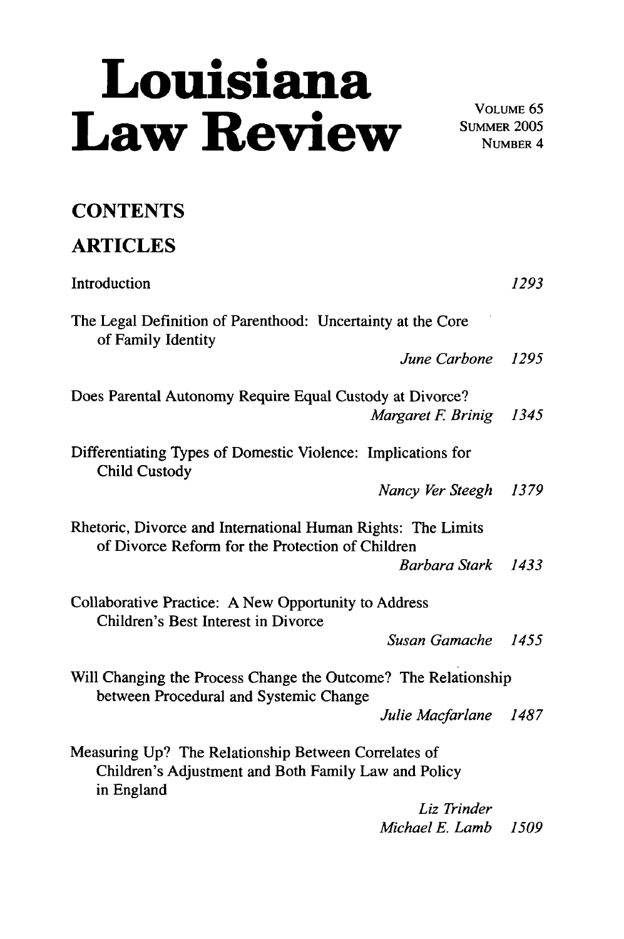# **Louisiana**  Law Review SUMMER 2005

NUMBER *4* 

## **CONTENTS**

# **ARTICLES**  Introduction **1293**  The Legal Definition of Parenthood: Uncertainty at the Core of Family Identity *June Carbone 1295*  Does Parental Autonomy Require Equal Custody at Divorce? *Margaret F. Brinig 1345* Differentiating Types of Domestic Violence: Implications for Child Custody *Nancy Ver Steegh 1379*  Rhetoric, Divorce and International Human Rights: The Limits of Divorce Reform for the Protection of Children *BarbaraStark 1433*  Collaborative Practice: A New Opportunity to Address Children's Best Interest in Divorce *Susan Gamache 1455*  Will Changing the Process Change the Outcome? The Relationship between Procedural and Systemic Change *Julie Macfarlane 1487*  Measuring Up? The Relationship Between Correlates of Children's Adjustment and Both Family Law and Policy in England

*Liz Trinder Michael E. Lamb 1509*